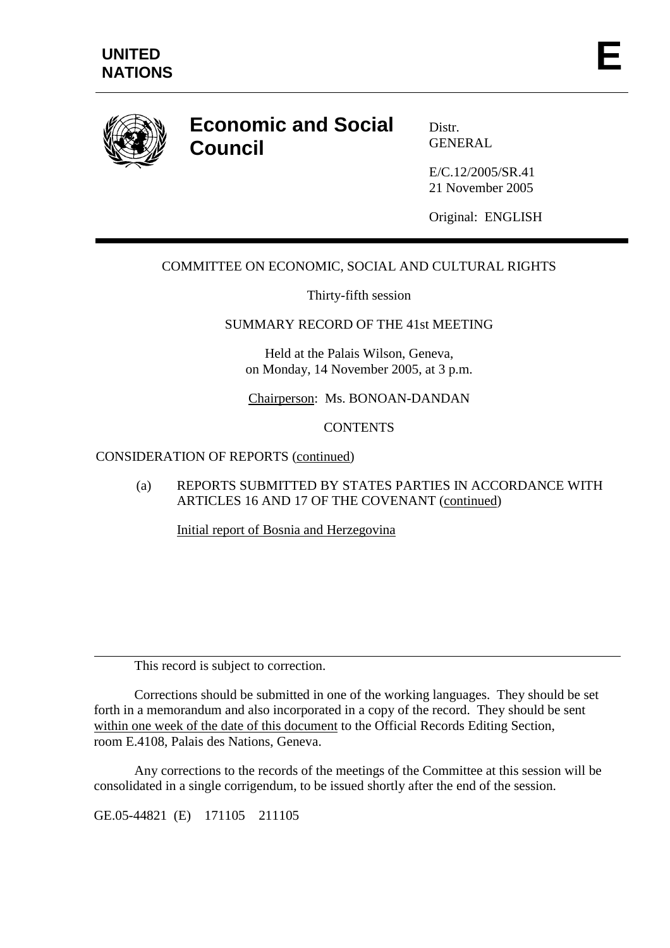

# **Economic and Social Council**

Distr. GENERAL

E/C.12/2005/SR.41 21 November 2005

Original: ENGLISH

# COMMITTEE ON ECONOMIC, SOCIAL AND CULTURAL RIGHTS

Thirty-fifth session

#### SUMMARY RECORD OF THE 41st MEETING

Held at the Palais Wilson, Geneva, on Monday, 14 November 2005, at 3 p.m.

Chairperson: Ms. BONOAN-DANDAN

# **CONTENTS**

#### CONSIDERATION OF REPORTS (continued)

(a) REPORTS SUBMITTED BY STATES PARTIES IN ACCORDANCE WITH ARTICLES 16 AND 17 OF THE COVENANT (continued)

Initial report of Bosnia and Herzegovina

This record is subject to correction.

 Corrections should be submitted in one of the working languages. They should be set forth in a memorandum and also incorporated in a copy of the record. They should be sent within one week of the date of this document to the Official Records Editing Section, room E.4108, Palais des Nations, Geneva.

 Any corrections to the records of the meetings of the Committee at this session will be consolidated in a single corrigendum, to be issued shortly after the end of the session.

GE.05-44821 (E) 171105 211105

 $\overline{a}$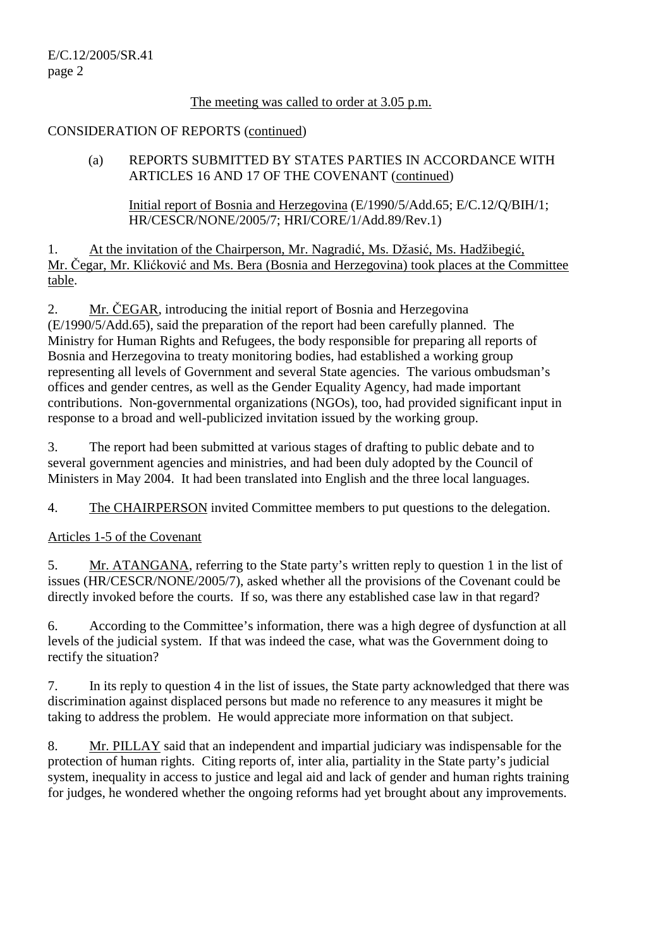# The meeting was called to order at 3.05 p.m.

## CONSIDERATION OF REPORTS (continued)

(a) REPORTS SUBMITTED BY STATES PARTIES IN ACCORDANCE WITH ARTICLES 16 AND 17 OF THE COVENANT (continued)

 Initial report of Bosnia and Herzegovina (E/1990/5/Add.65; E/C.12/Q/BIH/1; HR/CESCR/NONE/2005/7; HRI/CORE/1/Add.89/Rev.1)

1. At the invitation of the Chairperson, Mr. Nagradić, Ms. Džasić, Ms. Hadžibegić, Mr. Čegar, Mr. Klićković and Ms. Bera (Bosnia and Herzegovina) took places at the Committee table.

2. Mr. ČEGAR, introducing the initial report of Bosnia and Herzegovina (E/1990/5/Add.65), said the preparation of the report had been carefully planned. The Ministry for Human Rights and Refugees, the body responsible for preparing all reports of Bosnia and Herzegovina to treaty monitoring bodies, had established a working group representing all levels of Government and several State agencies. The various ombudsman's offices and gender centres, as well as the Gender Equality Agency, had made important contributions. Non-governmental organizations (NGOs), too, had provided significant input in response to a broad and well-publicized invitation issued by the working group.

3. The report had been submitted at various stages of drafting to public debate and to several government agencies and ministries, and had been duly adopted by the Council of Ministers in May 2004. It had been translated into English and the three local languages.

4. The CHAIRPERSON invited Committee members to put questions to the delegation.

Articles 1-5 of the Covenant

5. Mr. ATANGANA, referring to the State party's written reply to question 1 in the list of issues (HR/CESCR/NONE/2005/7), asked whether all the provisions of the Covenant could be directly invoked before the courts. If so, was there any established case law in that regard?

6. According to the Committee's information, there was a high degree of dysfunction at all levels of the judicial system. If that was indeed the case, what was the Government doing to rectify the situation?

7. In its reply to question 4 in the list of issues, the State party acknowledged that there was discrimination against displaced persons but made no reference to any measures it might be taking to address the problem. He would appreciate more information on that subject.

8. Mr. PILLAY said that an independent and impartial judiciary was indispensable for the protection of human rights. Citing reports of, inter alia, partiality in the State party's judicial system, inequality in access to justice and legal aid and lack of gender and human rights training for judges, he wondered whether the ongoing reforms had yet brought about any improvements.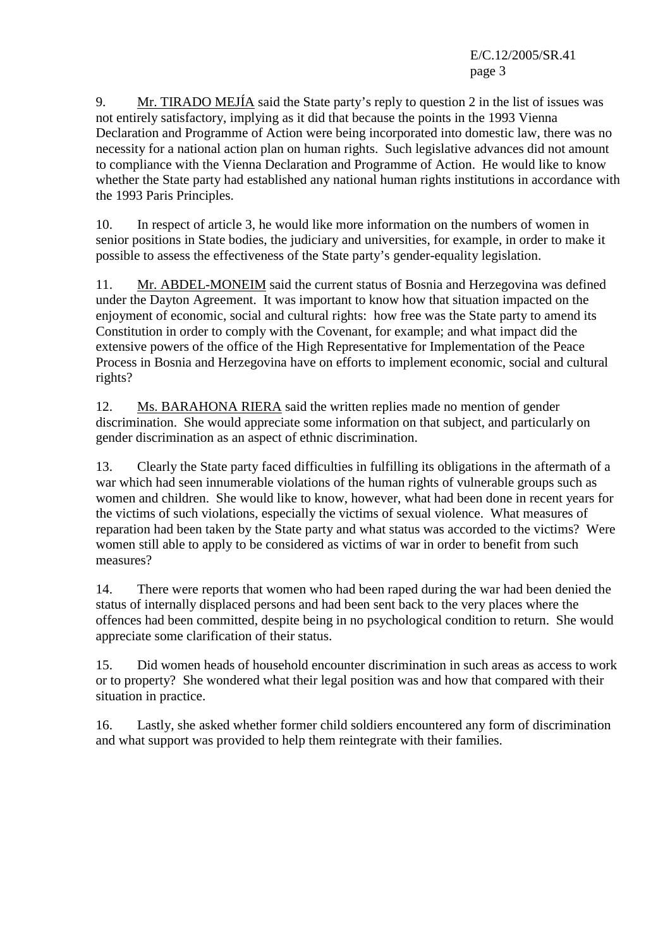E/C.12/2005/SR.41 page 3

9. Mr. TIRADO MEJÍA said the State party's reply to question 2 in the list of issues was not entirely satisfactory, implying as it did that because the points in the 1993 Vienna Declaration and Programme of Action were being incorporated into domestic law, there was no necessity for a national action plan on human rights. Such legislative advances did not amount to compliance with the Vienna Declaration and Programme of Action. He would like to know whether the State party had established any national human rights institutions in accordance with the 1993 Paris Principles.

10. In respect of article 3, he would like more information on the numbers of women in senior positions in State bodies, the judiciary and universities, for example, in order to make it possible to assess the effectiveness of the State party's gender-equality legislation.

11. Mr. ABDEL-MONEIM said the current status of Bosnia and Herzegovina was defined under the Dayton Agreement. It was important to know how that situation impacted on the enjoyment of economic, social and cultural rights: how free was the State party to amend its Constitution in order to comply with the Covenant, for example; and what impact did the extensive powers of the office of the High Representative for Implementation of the Peace Process in Bosnia and Herzegovina have on efforts to implement economic, social and cultural rights?

12. Ms. BARAHONA RIERA said the written replies made no mention of gender discrimination. She would appreciate some information on that subject, and particularly on gender discrimination as an aspect of ethnic discrimination.

13. Clearly the State party faced difficulties in fulfilling its obligations in the aftermath of a war which had seen innumerable violations of the human rights of vulnerable groups such as women and children. She would like to know, however, what had been done in recent years for the victims of such violations, especially the victims of sexual violence. What measures of reparation had been taken by the State party and what status was accorded to the victims? Were women still able to apply to be considered as victims of war in order to benefit from such measures?

14. There were reports that women who had been raped during the war had been denied the status of internally displaced persons and had been sent back to the very places where the offences had been committed, despite being in no psychological condition to return. She would appreciate some clarification of their status.

15. Did women heads of household encounter discrimination in such areas as access to work or to property? She wondered what their legal position was and how that compared with their situation in practice.

16. Lastly, she asked whether former child soldiers encountered any form of discrimination and what support was provided to help them reintegrate with their families.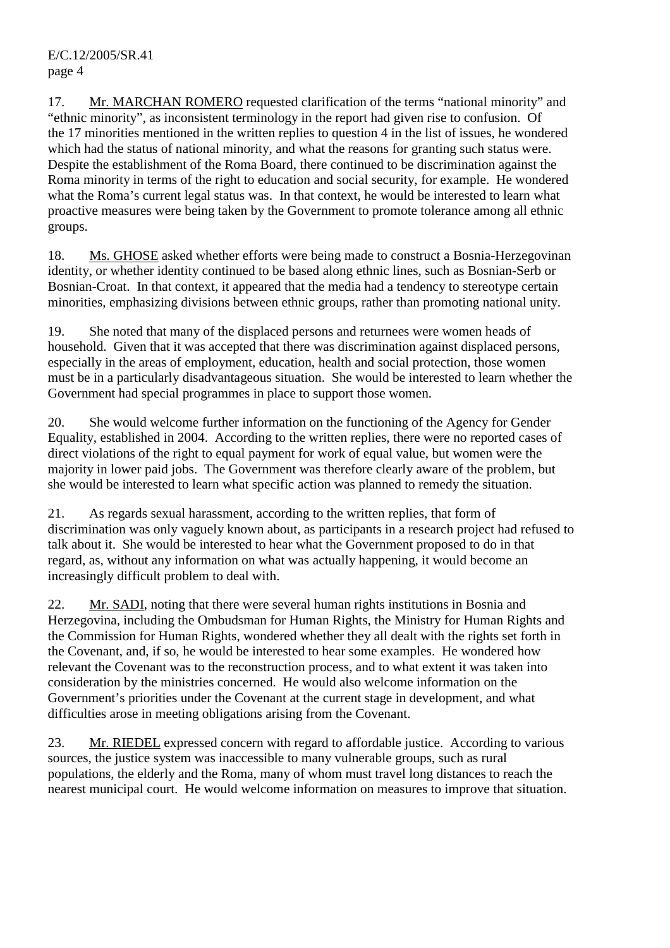17. Mr. MARCHAN ROMERO requested clarification of the terms "national minority" and "ethnic minority", as inconsistent terminology in the report had given rise to confusion. Of the 17 minorities mentioned in the written replies to question 4 in the list of issues, he wondered which had the status of national minority, and what the reasons for granting such status were. Despite the establishment of the Roma Board, there continued to be discrimination against the Roma minority in terms of the right to education and social security, for example. He wondered what the Roma's current legal status was. In that context, he would be interested to learn what proactive measures were being taken by the Government to promote tolerance among all ethnic groups.

18. Ms. GHOSE asked whether efforts were being made to construct a Bosnia-Herzegovinan identity, or whether identity continued to be based along ethnic lines, such as Bosnian-Serb or Bosnian-Croat. In that context, it appeared that the media had a tendency to stereotype certain minorities, emphasizing divisions between ethnic groups, rather than promoting national unity.

19. She noted that many of the displaced persons and returnees were women heads of household. Given that it was accepted that there was discrimination against displaced persons, especially in the areas of employment, education, health and social protection, those women must be in a particularly disadvantageous situation. She would be interested to learn whether the Government had special programmes in place to support those women.

20. She would welcome further information on the functioning of the Agency for Gender Equality, established in 2004. According to the written replies, there were no reported cases of direct violations of the right to equal payment for work of equal value, but women were the majority in lower paid jobs. The Government was therefore clearly aware of the problem, but she would be interested to learn what specific action was planned to remedy the situation.

21. As regards sexual harassment, according to the written replies, that form of discrimination was only vaguely known about, as participants in a research project had refused to talk about it. She would be interested to hear what the Government proposed to do in that regard, as, without any information on what was actually happening, it would become an increasingly difficult problem to deal with.

22. Mr. SADI, noting that there were several human rights institutions in Bosnia and Herzegovina, including the Ombudsman for Human Rights, the Ministry for Human Rights and the Commission for Human Rights, wondered whether they all dealt with the rights set forth in the Covenant, and, if so, he would be interested to hear some examples. He wondered how relevant the Covenant was to the reconstruction process, and to what extent it was taken into consideration by the ministries concerned. He would also welcome information on the Government's priorities under the Covenant at the current stage in development, and what difficulties arose in meeting obligations arising from the Covenant.

23. Mr. RIEDEL expressed concern with regard to affordable justice. According to various sources, the justice system was inaccessible to many vulnerable groups, such as rural populations, the elderly and the Roma, many of whom must travel long distances to reach the nearest municipal court. He would welcome information on measures to improve that situation.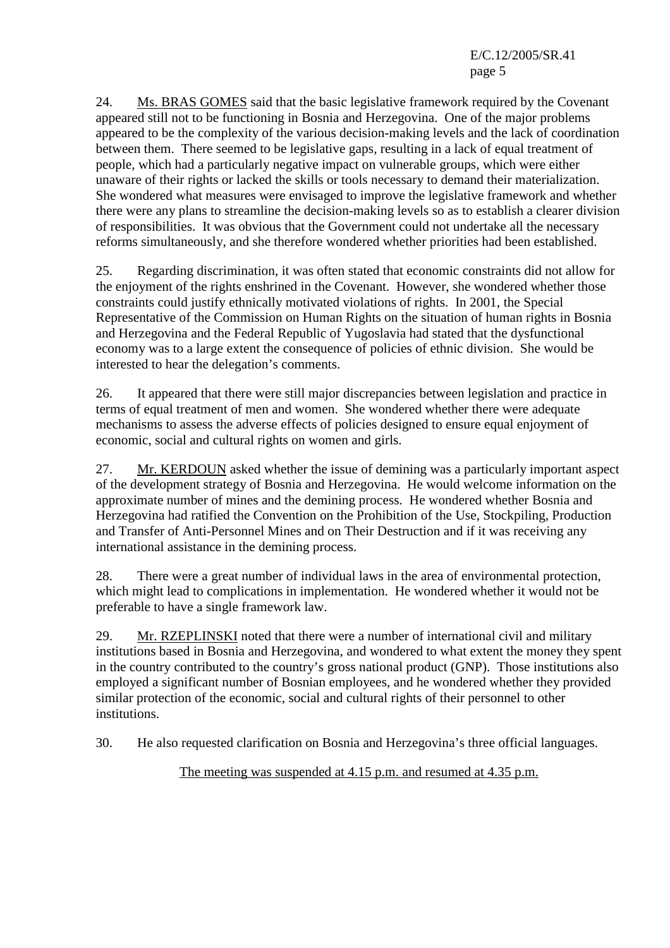E/C.12/2005/SR.41 page 5

24. Ms. BRAS GOMES said that the basic legislative framework required by the Covenant appeared still not to be functioning in Bosnia and Herzegovina. One of the major problems appeared to be the complexity of the various decision-making levels and the lack of coordination between them. There seemed to be legislative gaps, resulting in a lack of equal treatment of people, which had a particularly negative impact on vulnerable groups, which were either unaware of their rights or lacked the skills or tools necessary to demand their materialization. She wondered what measures were envisaged to improve the legislative framework and whether there were any plans to streamline the decision-making levels so as to establish a clearer division of responsibilities. It was obvious that the Government could not undertake all the necessary reforms simultaneously, and she therefore wondered whether priorities had been established.

25. Regarding discrimination, it was often stated that economic constraints did not allow for the enjoyment of the rights enshrined in the Covenant. However, she wondered whether those constraints could justify ethnically motivated violations of rights. In 2001, the Special Representative of the Commission on Human Rights on the situation of human rights in Bosnia and Herzegovina and the Federal Republic of Yugoslavia had stated that the dysfunctional economy was to a large extent the consequence of policies of ethnic division. She would be interested to hear the delegation's comments.

26. It appeared that there were still major discrepancies between legislation and practice in terms of equal treatment of men and women. She wondered whether there were adequate mechanisms to assess the adverse effects of policies designed to ensure equal enjoyment of economic, social and cultural rights on women and girls.

27. Mr. KERDOUN asked whether the issue of demining was a particularly important aspect of the development strategy of Bosnia and Herzegovina. He would welcome information on the approximate number of mines and the demining process. He wondered whether Bosnia and Herzegovina had ratified the Convention on the Prohibition of the Use, Stockpiling, Production and Transfer of Anti-Personnel Mines and on Their Destruction and if it was receiving any international assistance in the demining process.

28. There were a great number of individual laws in the area of environmental protection, which might lead to complications in implementation. He wondered whether it would not be preferable to have a single framework law.

29. Mr. RZEPLINSKI noted that there were a number of international civil and military institutions based in Bosnia and Herzegovina, and wondered to what extent the money they spent in the country contributed to the country's gross national product (GNP). Those institutions also employed a significant number of Bosnian employees, and he wondered whether they provided similar protection of the economic, social and cultural rights of their personnel to other institutions.

30. He also requested clarification on Bosnia and Herzegovina's three official languages.

The meeting was suspended at 4.15 p.m. and resumed at 4.35 p.m.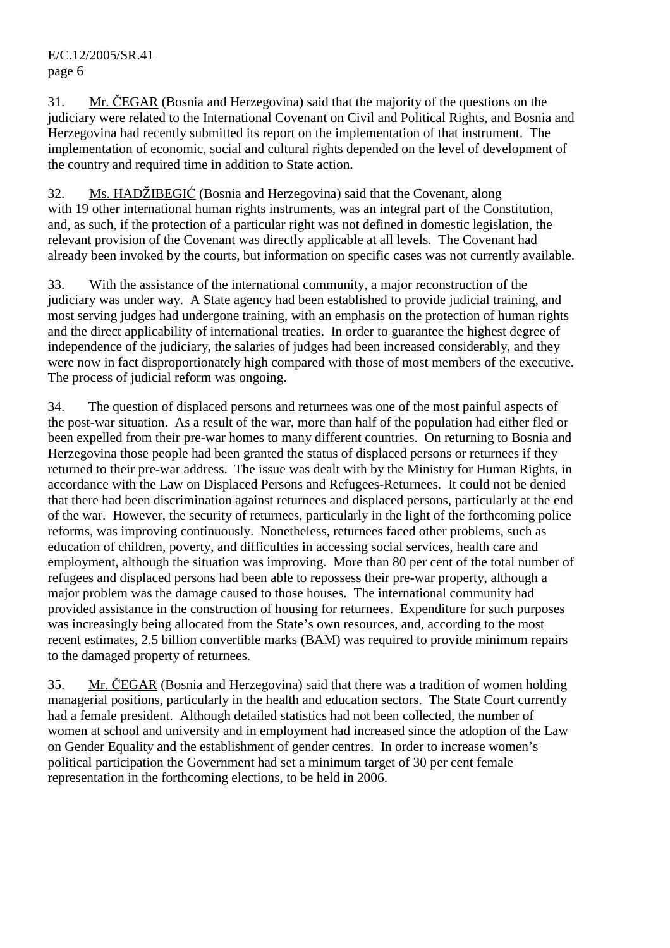31. Mr. ČEGAR (Bosnia and Herzegovina) said that the majority of the questions on the judiciary were related to the International Covenant on Civil and Political Rights, and Bosnia and Herzegovina had recently submitted its report on the implementation of that instrument. The implementation of economic, social and cultural rights depended on the level of development of the country and required time in addition to State action.

32. Ms. HADŽIBEGIĆ (Bosnia and Herzegovina) said that the Covenant, along with 19 other international human rights instruments, was an integral part of the Constitution, and, as such, if the protection of a particular right was not defined in domestic legislation, the relevant provision of the Covenant was directly applicable at all levels. The Covenant had already been invoked by the courts, but information on specific cases was not currently available.

33. With the assistance of the international community, a major reconstruction of the judiciary was under way. A State agency had been established to provide judicial training, and most serving judges had undergone training, with an emphasis on the protection of human rights and the direct applicability of international treaties. In order to guarantee the highest degree of independence of the judiciary, the salaries of judges had been increased considerably, and they were now in fact disproportionately high compared with those of most members of the executive. The process of judicial reform was ongoing.

34. The question of displaced persons and returnees was one of the most painful aspects of the post-war situation. As a result of the war, more than half of the population had either fled or been expelled from their pre-war homes to many different countries. On returning to Bosnia and Herzegovina those people had been granted the status of displaced persons or returnees if they returned to their pre-war address. The issue was dealt with by the Ministry for Human Rights, in accordance with the Law on Displaced Persons and Refugees-Returnees. It could not be denied that there had been discrimination against returnees and displaced persons, particularly at the end of the war. However, the security of returnees, particularly in the light of the forthcoming police reforms, was improving continuously. Nonetheless, returnees faced other problems, such as education of children, poverty, and difficulties in accessing social services, health care and employment, although the situation was improving. More than 80 per cent of the total number of refugees and displaced persons had been able to repossess their pre-war property, although a major problem was the damage caused to those houses. The international community had provided assistance in the construction of housing for returnees. Expenditure for such purposes was increasingly being allocated from the State's own resources, and, according to the most recent estimates, 2.5 billion convertible marks (BAM) was required to provide minimum repairs to the damaged property of returnees.

35. Mr. ČEGAR (Bosnia and Herzegovina) said that there was a tradition of women holding managerial positions, particularly in the health and education sectors. The State Court currently had a female president. Although detailed statistics had not been collected, the number of women at school and university and in employment had increased since the adoption of the Law on Gender Equality and the establishment of gender centres. In order to increase women's political participation the Government had set a minimum target of 30 per cent female representation in the forthcoming elections, to be held in 2006.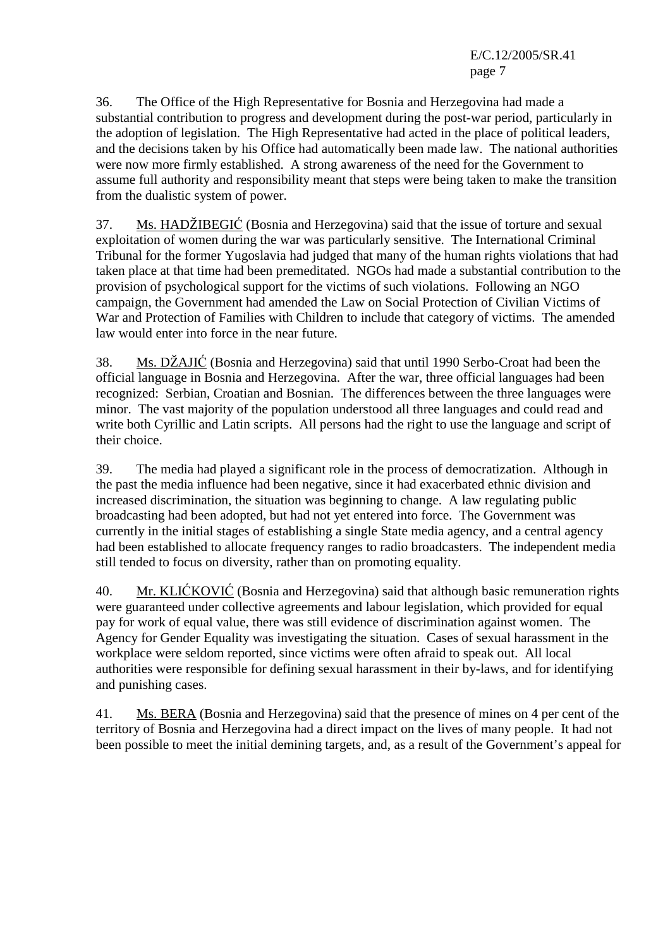E/C.12/2005/SR.41 page 7

36. The Office of the High Representative for Bosnia and Herzegovina had made a substantial contribution to progress and development during the post-war period, particularly in the adoption of legislation. The High Representative had acted in the place of political leaders, and the decisions taken by his Office had automatically been made law. The national authorities were now more firmly established. A strong awareness of the need for the Government to assume full authority and responsibility meant that steps were being taken to make the transition from the dualistic system of power.

37. Ms. HADŽIBEGIĆ (Bosnia and Herzegovina) said that the issue of torture and sexual exploitation of women during the war was particularly sensitive. The International Criminal Tribunal for the former Yugoslavia had judged that many of the human rights violations that had taken place at that time had been premeditated. NGOs had made a substantial contribution to the provision of psychological support for the victims of such violations. Following an NGO campaign, the Government had amended the Law on Social Protection of Civilian Victims of War and Protection of Families with Children to include that category of victims. The amended law would enter into force in the near future.

38. Ms. DŽAJIĆ (Bosnia and Herzegovina) said that until 1990 Serbo-Croat had been the official language in Bosnia and Herzegovina. After the war, three official languages had been recognized: Serbian, Croatian and Bosnian. The differences between the three languages were minor. The vast majority of the population understood all three languages and could read and write both Cyrillic and Latin scripts. All persons had the right to use the language and script of their choice.

39. The media had played a significant role in the process of democratization. Although in the past the media influence had been negative, since it had exacerbated ethnic division and increased discrimination, the situation was beginning to change. A law regulating public broadcasting had been adopted, but had not yet entered into force. The Government was currently in the initial stages of establishing a single State media agency, and a central agency had been established to allocate frequency ranges to radio broadcasters. The independent media still tended to focus on diversity, rather than on promoting equality.

40. Mr. KLIĆKOVIĆ (Bosnia and Herzegovina) said that although basic remuneration rights were guaranteed under collective agreements and labour legislation, which provided for equal pay for work of equal value, there was still evidence of discrimination against women. The Agency for Gender Equality was investigating the situation. Cases of sexual harassment in the workplace were seldom reported, since victims were often afraid to speak out. All local authorities were responsible for defining sexual harassment in their by-laws, and for identifying and punishing cases.

41. Ms. BERA (Bosnia and Herzegovina) said that the presence of mines on 4 per cent of the territory of Bosnia and Herzegovina had a direct impact on the lives of many people. It had not been possible to meet the initial demining targets, and, as a result of the Government's appeal for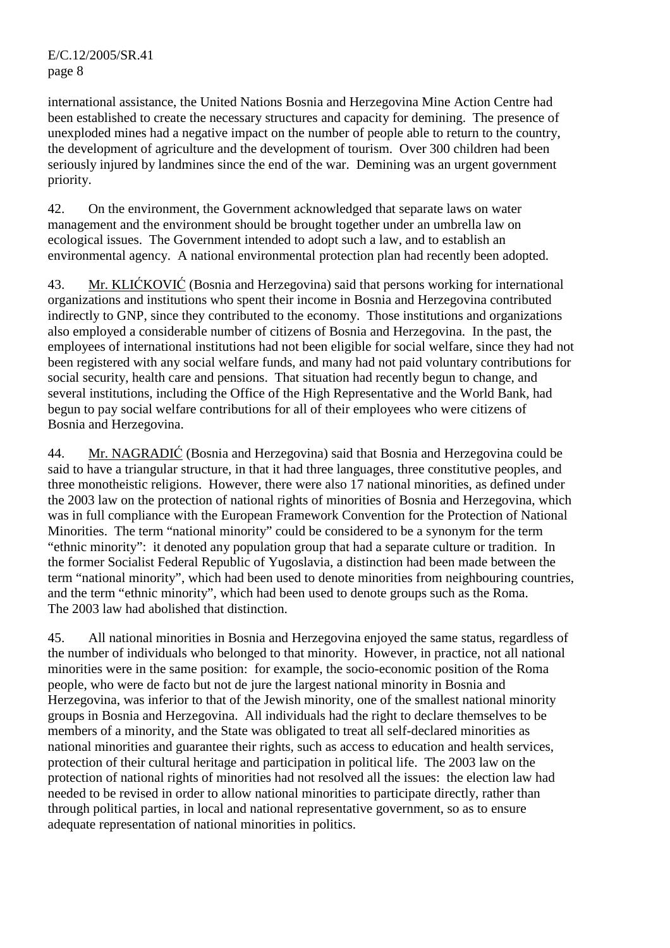international assistance, the United Nations Bosnia and Herzegovina Mine Action Centre had been established to create the necessary structures and capacity for demining. The presence of unexploded mines had a negative impact on the number of people able to return to the country, the development of agriculture and the development of tourism. Over 300 children had been seriously injured by landmines since the end of the war. Demining was an urgent government priority.

42. On the environment, the Government acknowledged that separate laws on water management and the environment should be brought together under an umbrella law on ecological issues. The Government intended to adopt such a law, and to establish an environmental agency. A national environmental protection plan had recently been adopted.

43. Mr. KLIĆKOVIĆ (Bosnia and Herzegovina) said that persons working for international organizations and institutions who spent their income in Bosnia and Herzegovina contributed indirectly to GNP, since they contributed to the economy. Those institutions and organizations also employed a considerable number of citizens of Bosnia and Herzegovina. In the past, the employees of international institutions had not been eligible for social welfare, since they had not been registered with any social welfare funds, and many had not paid voluntary contributions for social security, health care and pensions. That situation had recently begun to change, and several institutions, including the Office of the High Representative and the World Bank, had begun to pay social welfare contributions for all of their employees who were citizens of Bosnia and Herzegovina.

44. Mr. NAGRADIĆ (Bosnia and Herzegovina) said that Bosnia and Herzegovina could be said to have a triangular structure, in that it had three languages, three constitutive peoples, and three monotheistic religions. However, there were also 17 national minorities, as defined under the 2003 law on the protection of national rights of minorities of Bosnia and Herzegovina, which was in full compliance with the European Framework Convention for the Protection of National Minorities. The term "national minority" could be considered to be a synonym for the term "ethnic minority": it denoted any population group that had a separate culture or tradition. In the former Socialist Federal Republic of Yugoslavia, a distinction had been made between the term "national minority", which had been used to denote minorities from neighbouring countries, and the term "ethnic minority", which had been used to denote groups such as the Roma. The 2003 law had abolished that distinction.

45. All national minorities in Bosnia and Herzegovina enjoyed the same status, regardless of the number of individuals who belonged to that minority. However, in practice, not all national minorities were in the same position: for example, the socio-economic position of the Roma people, who were de facto but not de jure the largest national minority in Bosnia and Herzegovina, was inferior to that of the Jewish minority, one of the smallest national minority groups in Bosnia and Herzegovina. All individuals had the right to declare themselves to be members of a minority, and the State was obligated to treat all self-declared minorities as national minorities and guarantee their rights, such as access to education and health services, protection of their cultural heritage and participation in political life. The 2003 law on the protection of national rights of minorities had not resolved all the issues: the election law had needed to be revised in order to allow national minorities to participate directly, rather than through political parties, in local and national representative government, so as to ensure adequate representation of national minorities in politics.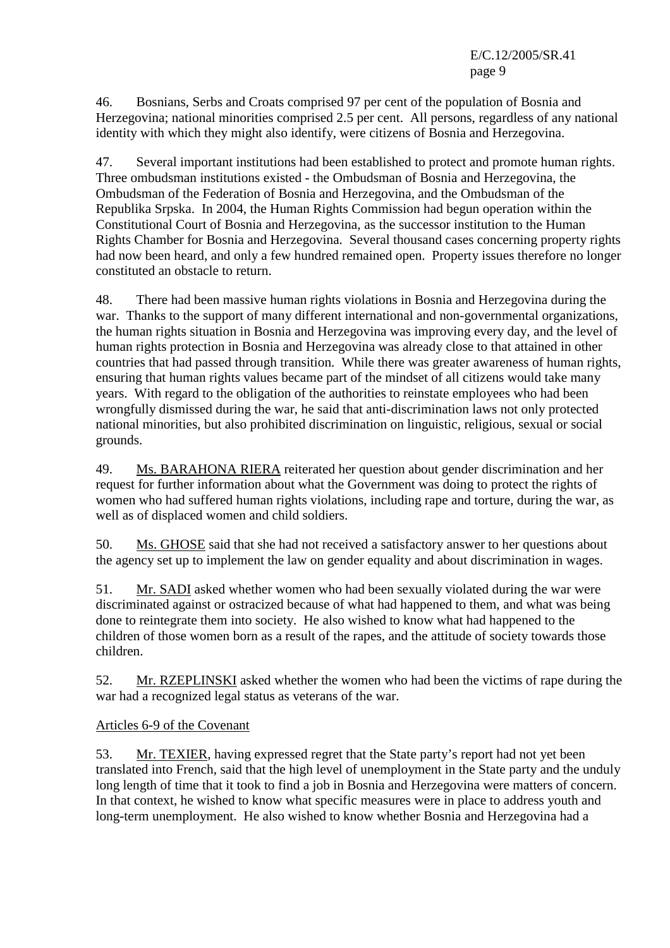46. Bosnians, Serbs and Croats comprised 97 per cent of the population of Bosnia and Herzegovina; national minorities comprised 2.5 per cent. All persons, regardless of any national identity with which they might also identify, were citizens of Bosnia and Herzegovina.

47. Several important institutions had been established to protect and promote human rights. Three ombudsman institutions existed - the Ombudsman of Bosnia and Herzegovina, the Ombudsman of the Federation of Bosnia and Herzegovina, and the Ombudsman of the Republika Srpska. In 2004, the Human Rights Commission had begun operation within the Constitutional Court of Bosnia and Herzegovina, as the successor institution to the Human Rights Chamber for Bosnia and Herzegovina. Several thousand cases concerning property rights had now been heard, and only a few hundred remained open. Property issues therefore no longer constituted an obstacle to return.

48. There had been massive human rights violations in Bosnia and Herzegovina during the war. Thanks to the support of many different international and non-governmental organizations, the human rights situation in Bosnia and Herzegovina was improving every day, and the level of human rights protection in Bosnia and Herzegovina was already close to that attained in other countries that had passed through transition. While there was greater awareness of human rights, ensuring that human rights values became part of the mindset of all citizens would take many years. With regard to the obligation of the authorities to reinstate employees who had been wrongfully dismissed during the war, he said that anti-discrimination laws not only protected national minorities, but also prohibited discrimination on linguistic, religious, sexual or social grounds.

49. Ms. BARAHONA RIERA reiterated her question about gender discrimination and her request for further information about what the Government was doing to protect the rights of women who had suffered human rights violations, including rape and torture, during the war, as well as of displaced women and child soldiers.

50. Ms. GHOSE said that she had not received a satisfactory answer to her questions about the agency set up to implement the law on gender equality and about discrimination in wages.

51. Mr. SADI asked whether women who had been sexually violated during the war were discriminated against or ostracized because of what had happened to them, and what was being done to reintegrate them into society. He also wished to know what had happened to the children of those women born as a result of the rapes, and the attitude of society towards those children.

52. Mr. RZEPLINSKI asked whether the women who had been the victims of rape during the war had a recognized legal status as veterans of the war.

# Articles 6-9 of the Covenant

53. Mr. TEXIER, having expressed regret that the State party's report had not yet been translated into French, said that the high level of unemployment in the State party and the unduly long length of time that it took to find a job in Bosnia and Herzegovina were matters of concern. In that context, he wished to know what specific measures were in place to address youth and long-term unemployment. He also wished to know whether Bosnia and Herzegovina had a